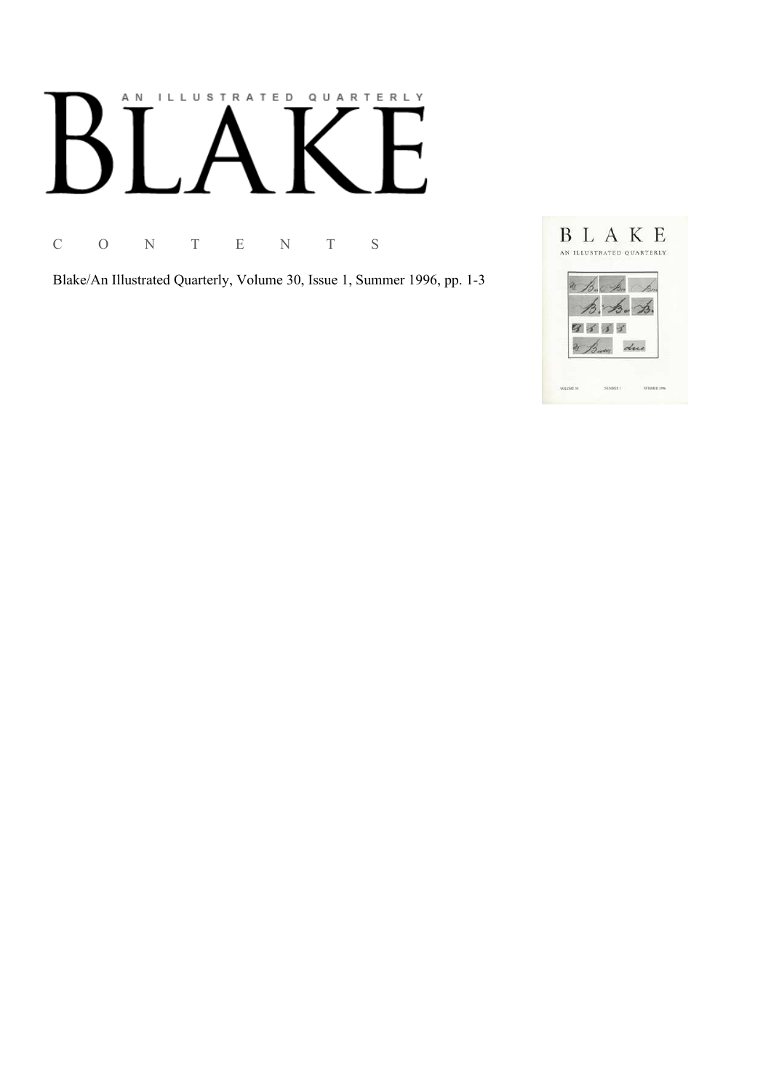# AN ILLUSTRATED QUARTERLY

C O N T E N T S

Blake/An Illustrated Quarterly, Volume 30, Issue 1, Summer 1996, pp. 1-3

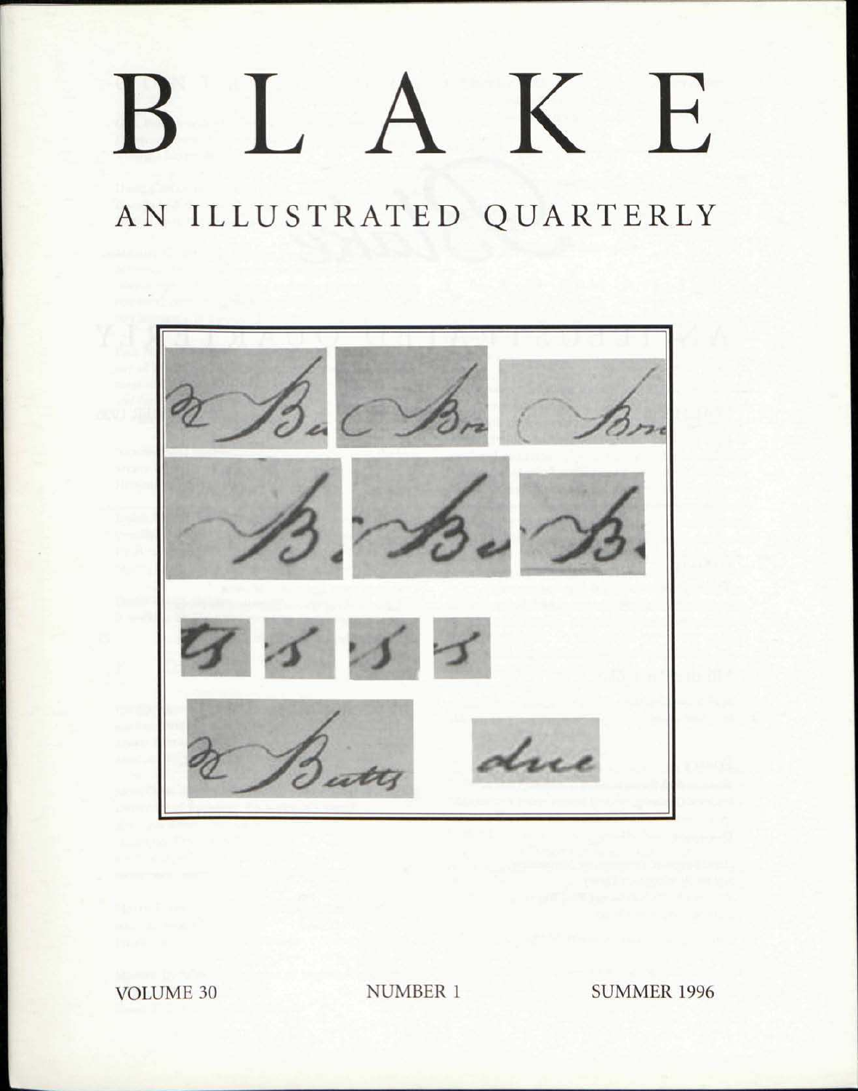## BLAKE

## AN ILLUSTRATED QUARTERLY



VOLUME 30 NUMBER 1 SUMMER 1996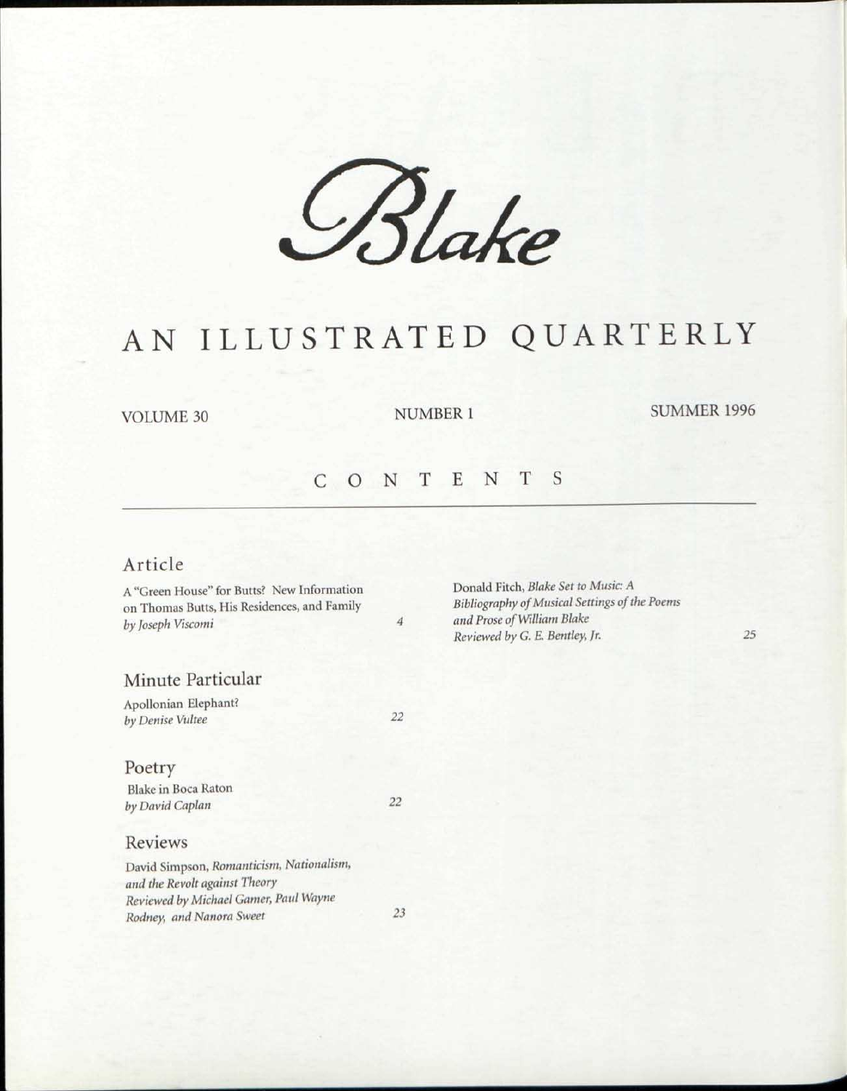*£\$u> e* 

### AN ILLUSTRATED QUARTERLY

VOLUME 30

NUMBER 1 SUMMER 1996

#### C 0 N T E N T S

*4* 

*22* 

*22* 

*23* 

#### Article

A "Green House" for Butts? New Information on Thomas Butts, His Residences, and Family *by Joseph Viscomi* 

#### Minute Particular

Apollonian Elephant? *by Denise Vultee* 

#### Poetry

Blake in Boca Raton *by David Caplan* 

#### Reviews

David Simpson, *Romanticism, Nationalism, and the Revolt against Theory Reviewed by Michael Gamer, Paid Wayne Rodney, and Nanora Sweet* 

Donald Fitch, *Blake Set to Music: A Bibliography of Musical Settings of the Poems and Prose of William Blake Reviewed by G. E. Bentley, Jr. 25*